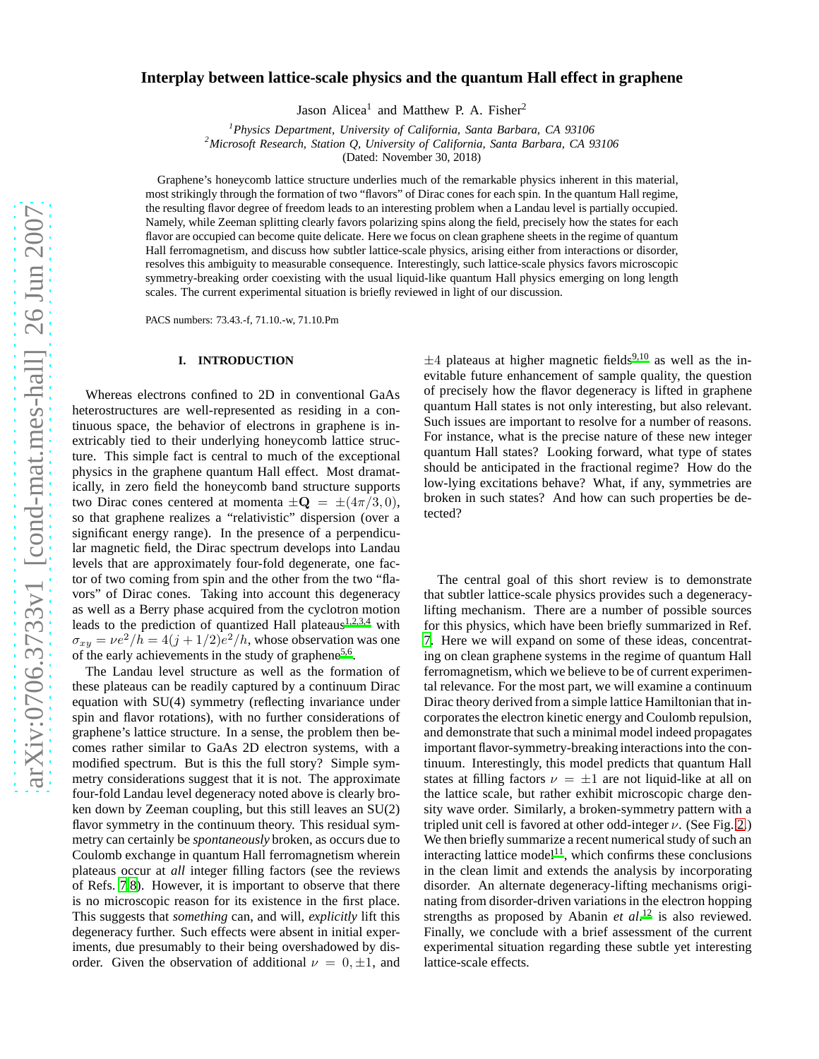# **Interplay between lattice-scale physics and the quantum Hall effect in graphene**

Jason Alicea<sup>1</sup> and Matthew P. A. Fisher<sup>2</sup>

*<sup>1</sup>Physics Department, University of California, Santa Barbara, CA 93106 <sup>2</sup>Microsoft Research, Station Q, University of California, Santa Barbara, CA 93106*

(Dated: November 30, 2018)

Graphene's honeycomb lattice structure underlies much of the remarkable physics inherent in this material, most strikingly through the formation of two "flavors" of Dirac cones for each spin. In the quantum Hall regime, the resulting flavor degree of freedom leads to an interesting problem when a Landau level is partially occupied. Namely, while Zeeman splitting clearly favors polarizing spins along the field, precisely how the states for each flavor are occupied can become quite delicate. Here we focus on clean graphene sheets in the regime of quantum Hall ferromagnetism, and discuss how subtler lattice-scale physics, arising either from interactions or disorder, resolves this ambiguity to measurable consequence. Interestingly, such lattice-scale physics favors microscopic symmetry-breaking order coexisting with the usual liquid-like quantum Hall physics emerging on long length scales. The current experimental situation is briefly reviewed in light of our discussion.

PACS numbers: 73.43.-f, 71.10.-w, 71.10.Pm

### **I. INTRODUCTION**

Whereas electrons confined to 2D in conventional GaAs heterostructures are well-represented as residing in a continuous space, the behavior of electrons in graphene is inextricably tied to their underlying honeycomb lattice structure. This simple fact is central to much of the exceptional physics in the graphene quantum Hall effect. Most dramatically, in zero field the honeycomb band structure supports two Dirac cones centered at momenta  $\pm \mathbf{Q} = \pm (4\pi/3, 0),$ so that graphene realizes a "relativistic" dispersion (over a significant energy range). In the presence of a perpendicular magnetic field, the Dirac spectrum develops into Landau levels that are approximately four-fold degenerate, one factor of two coming from spin and the other from the two "flavors" of Dirac cones. Taking into account this degeneracy as well as a Berry phase acquired from the cyclotron motion leads to the prediction of quantized Hall plateaus<sup>[1](#page-5-0)[,2](#page-5-1)[,3](#page-5-2)[,4](#page-5-3)</sup> with  $\sigma_{xy} = \nu e^2/h = 4(j + 1/2)e^2/h$ , whose observation was one of the early achievements in the study of graphene<sup>[5](#page-5-4)[,6](#page-5-5)</sup>.

The Landau level structure as well as the formation of these plateaus can be readily captured by a continuum Dirac equation with SU(4) symmetry (reflecting invariance under spin and flavor rotations), with no further considerations of graphene's lattice structure. In a sense, the problem then becomes rather similar to GaAs 2D electron systems, with a modified spectrum. But is this the full story? Simple symmetry considerations suggest that it is not. The approximate four-fold Landau level degeneracy noted above is clearly broken down by Zeeman coupling, but this still leaves an SU(2) flavor symmetry in the continuum theory. This residual symmetry can certainly be *spontaneously* broken, as occurs due to Coulomb exchange in quantum Hall ferromagnetism wherein plateaus occur at *all* integer filling factors (see the reviews of Refs. [7](#page-5-6)[,8](#page-5-7)). However, it is important to observe that there is no microscopic reason for its existence in the first place. This suggests that *something* can, and will, *explicitly* lift this degeneracy further. Such effects were absent in initial experiments, due presumably to their being overshadowed by disorder. Given the observation of additional  $\nu = 0, \pm 1$ , and

 $\pm 4$  plateaus at higher magnetic fields<sup>[9](#page-5-8)[,10](#page-5-9)</sup> as well as the inevitable future enhancement of sample quality, the question of precisely how the flavor degeneracy is lifted in graphene quantum Hall states is not only interesting, but also relevant. Such issues are important to resolve for a number of reasons. For instance, what is the precise nature of these new integer quantum Hall states? Looking forward, what type of states should be anticipated in the fractional regime? How do the low-lying excitations behave? What, if any, symmetries are broken in such states? And how can such properties be detected?

The central goal of this short review is to demonstrate that subtler lattice-scale physics provides such a degeneracylifting mechanism. There are a number of possible sources for this physics, which have been briefly summarized in Ref. [7.](#page-5-6) Here we will expand on some of these ideas, concentrating on clean graphene systems in the regime of quantum Hall ferromagnetism, which we believe to be of current experimental relevance. For the most part, we will examine a continuum Dirac theory derived from a simple lattice Hamiltonian that incorporates the electron kinetic energy and Coulomb repulsion, and demonstrate that such a minimal model indeed propagates important flavor-symmetry-breaking interactions into the continuum. Interestingly, this model predicts that quantum Hall states at filling factors  $\nu = \pm 1$  are not liquid-like at all on the lattice scale, but rather exhibit microscopic charge density wave order. Similarly, a broken-symmetry pattern with a tripled unit cell is favored at other odd-integer  $\nu$ . (See Fig. [2.](#page-3-0)) We then briefly summarize a recent numerical study of such an interacting lattice model<sup>[11](#page-5-10)</sup>, which confirms these conclusions in the clean limit and extends the analysis by incorporating disorder. An alternate degeneracy-lifting mechanisms originating from disorder-driven variations in the electron hopping strengths as proposed by Abanin *et al*. [12](#page-5-11) is also reviewed. Finally, we conclude with a brief assessment of the current experimental situation regarding these subtle yet interesting lattice-scale effects.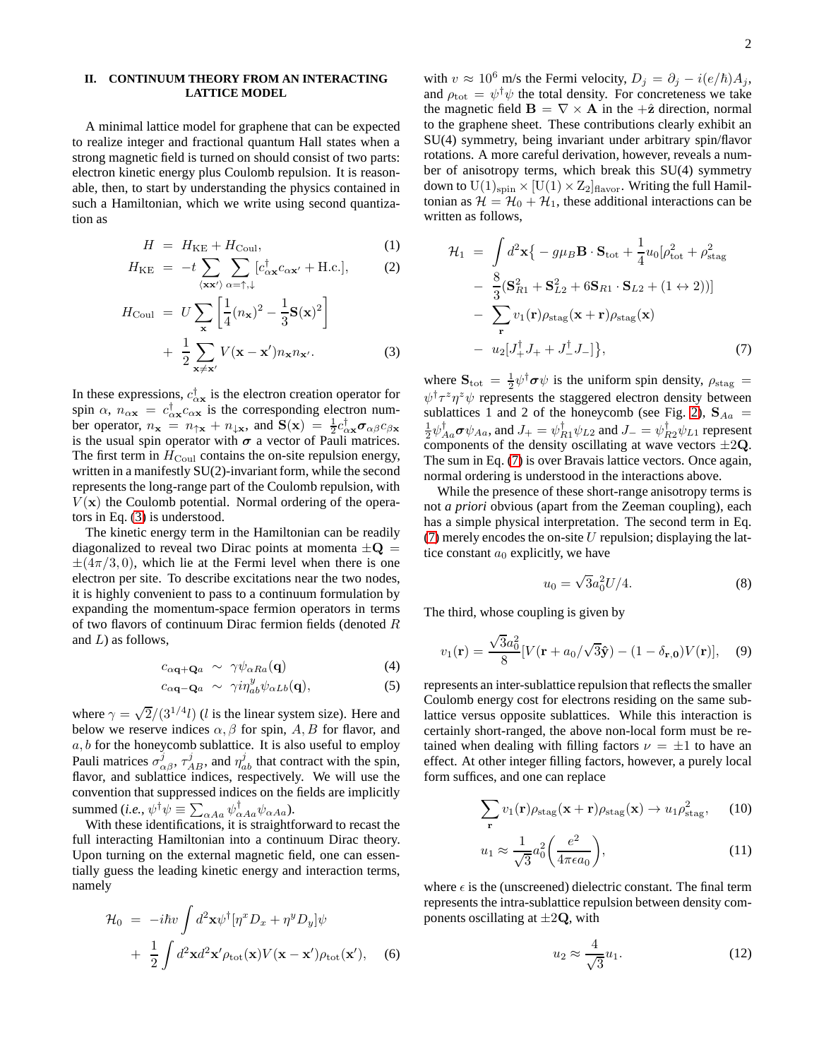## **II. CONTINUUM THEORY FROM AN INTERACTING LATTICE MODEL**

A minimal lattice model for graphene that can be expected to realize integer and fractional quantum Hall states when a strong magnetic field is turned on should consist of two parts: electron kinetic energy plus Coulomb repulsion. It is reasonable, then, to start by understanding the physics contained in such a Hamiltonian, which we write using second quantization as

<span id="page-1-0"></span>
$$
H = H_{\rm KE} + H_{\rm Coul}, \tag{1}
$$

$$
H_{\rm KE} = -t \sum_{\langle \mathbf{x} \mathbf{x}' \rangle} \sum_{\alpha = \uparrow, \downarrow} [c_{\alpha \mathbf{x}}^{\dagger} c_{\alpha \mathbf{x}'} + \text{H.c.}], \tag{2}
$$

$$
H_{\text{Coul}} = U \sum_{\mathbf{x}} \left[ \frac{1}{4} (n_{\mathbf{x}})^2 - \frac{1}{3} \mathbf{S}(\mathbf{x})^2 \right]
$$

$$
+ \frac{1}{2} \sum_{\mathbf{x} \neq \mathbf{x'}} V(\mathbf{x} - \mathbf{x'}) n_{\mathbf{x}} n_{\mathbf{x'}}.
$$
(3)

In these expressions,  $c_{\alpha x}^{\dagger}$  is the electron creation operator for spin  $\alpha$ ,  $n_{\alpha x} = c_{\alpha x}^{\dagger} c_{\alpha x}$  is the corresponding electron number operator,  $n_x = n_{\uparrow x} + n_{\downarrow x}$ , and  $S(x) = \frac{1}{2} c_{\alpha x}^{\dagger} \sigma_{\alpha \beta} c_{\beta x}$ is the usual spin operator with  $\sigma$  a vector of Pauli matrices. The first term in  $H_{\text{Coul}}$  contains the on-site repulsion energy, written in a manifestly SU(2)-invariant form, while the second represents the long-range part of the Coulomb repulsion, with  $V(\mathbf{x})$  the Coulomb potential. Normal ordering of the operators in Eq. [\(3\)](#page-1-0) is understood.

The kinetic energy term in the Hamiltonian can be readily diagonalized to reveal two Dirac points at momenta  $\pm \mathbf{Q} =$  $\pm$ (4π/3,0), which lie at the Fermi level when there is one electron per site. To describe excitations near the two nodes, it is highly convenient to pass to a continuum formulation by expanding the momentum-space fermion operators in terms of two flavors of continuum Dirac fermion fields (denoted  $R$ and  $L$ ) as follows,

$$
c_{\alpha \mathbf{q} + \mathbf{Q}a} \sim \gamma \psi_{\alpha R a}(\mathbf{q}) \tag{4}
$$

$$
c_{\alpha\mathbf{q}-\mathbf{Q}a} \sim \gamma i\eta_{ab}^y \psi_{\alpha Lb}(\mathbf{q}), \qquad (5)
$$

where  $\gamma = \sqrt{2}/(3^{1/4}l)$  (*l* is the linear system size). Here and below we reserve indices  $\alpha$ ,  $\beta$  for spin, A, B for flavor, and  $a, b$  for the honeycomb sublattice. It is also useful to employ Pauli matrices  $\sigma_{\alpha\beta}^j$ ,  $\tau_{AB}^j$ , and  $\eta_{ab}^j$  that contract with the spin, flavor, and sublattice indices, respectively. We will use the convention that suppressed indices on the fields are implicitly summed (*i.e.*,  $\psi^{\dagger} \psi \equiv \sum_{\alpha Aa} \psi^{\dagger}_{\alpha Aa} \psi_{\alpha Aa}$ ).

With these identifications, it is straightforward to recast the full interacting Hamiltonian into a continuum Dirac theory. Upon turning on the external magnetic field, one can essentially guess the leading kinetic energy and interaction terms, namely

<span id="page-1-2"></span>
$$
\mathcal{H}_0 = -i\hbar v \int d^2 \mathbf{x} \psi^{\dagger} [\eta^x D_x + \eta^y D_y] \psi \n+ \frac{1}{2} \int d^2 \mathbf{x} d^2 \mathbf{x}' \rho_{\text{tot}}(\mathbf{x}) V(\mathbf{x} - \mathbf{x}') \rho_{\text{tot}}(\mathbf{x}'),
$$
\n(6)

with  $v \approx 10^6$  m/s the Fermi velocity,  $D_j = \partial_j - i(e/\hbar)A_j$ , and  $\rho_{\text{tot}} = \psi^{\dagger} \psi$  the total density. For concreteness we take the magnetic field  $\mathbf{B} = \nabla \times \mathbf{A}$  in the + $\hat{\mathbf{z}}$  direction, normal to the graphene sheet. These contributions clearly exhibit an SU(4) symmetry, being invariant under arbitrary spin/flavor rotations. A more careful derivation, however, reveals a number of anisotropy terms, which break this SU(4) symmetry down to  $U(1)_{spin} \times [U(1) \times Z_2]_{flavor}$ . Writing the full Hamiltonian as  $\mathcal{H} = \mathcal{H}_0 + \mathcal{H}_1$ , these additional interactions can be written as follows,

<span id="page-1-1"></span>
$$
\mathcal{H}_1 = \int d^2 \mathbf{x} \{ -g\mu_B \mathbf{B} \cdot \mathbf{S}_{\text{tot}} + \frac{1}{4} u_0 [\rho_{\text{tot}}^2 + \rho_{\text{stag}}^2 \n- \frac{8}{3} (\mathbf{S}_{R1}^2 + \mathbf{S}_{L2}^2 + 6 \mathbf{S}_{R1} \cdot \mathbf{S}_{L2} + (1 \leftrightarrow 2)) ] \n- \sum_{\mathbf{r}} v_1(\mathbf{r}) \rho_{\text{stag}}(\mathbf{x} + \mathbf{r}) \rho_{\text{stag}}(\mathbf{x}) \n- u_2[J_+^\dagger J_+ + J_-^\dagger J_-] \}, \tag{7}
$$

where  $S_{\text{tot}} = \frac{1}{2} \psi^{\dagger} \sigma \psi$  is the uniform spin density,  $\rho_{\text{stag}} =$  $\psi^{\dagger} \tau^z \eta^z \psi$  represents the staggered electron density between sublattices 1 and 2 of the honeycomb (see Fig. [2\)](#page-3-0),  $S_{Aa}$  =  $\frac{1}{2}\psi_{Aa}^{\dagger}\boldsymbol{\sigma}\psi_{Aa}$ , and  $J_{+}=\psi_{R1}^{\dagger}\psi_{L2}$  and  $J_{-}=\psi_{R2}^{\dagger}\psi_{L1}$  represent components of the density oscillating at wave vectors  $\pm 2Q$ . The sum in Eq. [\(7\)](#page-1-1) is over Bravais lattice vectors. Once again, normal ordering is understood in the interactions above.

While the presence of these short-range anisotropy terms is not *a priori* obvious (apart from the Zeeman coupling), each has a simple physical interpretation. The second term in Eq. [\(7\)](#page-1-1) merely encodes the on-site  $U$  repulsion; displaying the lattice constant  $a_0$  explicitly, we have

$$
u_0 = \sqrt{3}a_0^2 U/4.
$$
 (8)

The third, whose coupling is given by

$$
v_1(\mathbf{r}) = \frac{\sqrt{3}a_0^2}{8}[V(\mathbf{r} + a_0/\sqrt{3}\hat{\mathbf{y}}) - (1 - \delta_{\mathbf{r},\mathbf{0}})V(\mathbf{r})], \quad (9)
$$

represents an inter-sublattice repulsion that reflects the smaller Coulomb energy cost for electrons residing on the same sublattice versus opposite sublattices. While this interaction is certainly short-ranged, the above non-local form must be retained when dealing with filling factors  $\nu = \pm 1$  to have an effect. At other integer filling factors, however, a purely local form suffices, and one can replace

$$
\sum_{\mathbf{r}} v_1(\mathbf{r}) \rho_{\text{stag}}(\mathbf{x} + \mathbf{r}) \rho_{\text{stag}}(\mathbf{x}) \to u_1 \rho_{\text{stag}}^2,
$$
 (10)

$$
u_1 \approx \frac{1}{\sqrt{3}} a_0^2 \left(\frac{e^2}{4\pi\epsilon a_0}\right),\tag{11}
$$

where  $\epsilon$  is the (unscreened) dielectric constant. The final term represents the intra-sublattice repulsion between density components oscillating at  $\pm 2Q$ , with

$$
u_2 \approx \frac{4}{\sqrt{3}} u_1. \tag{12}
$$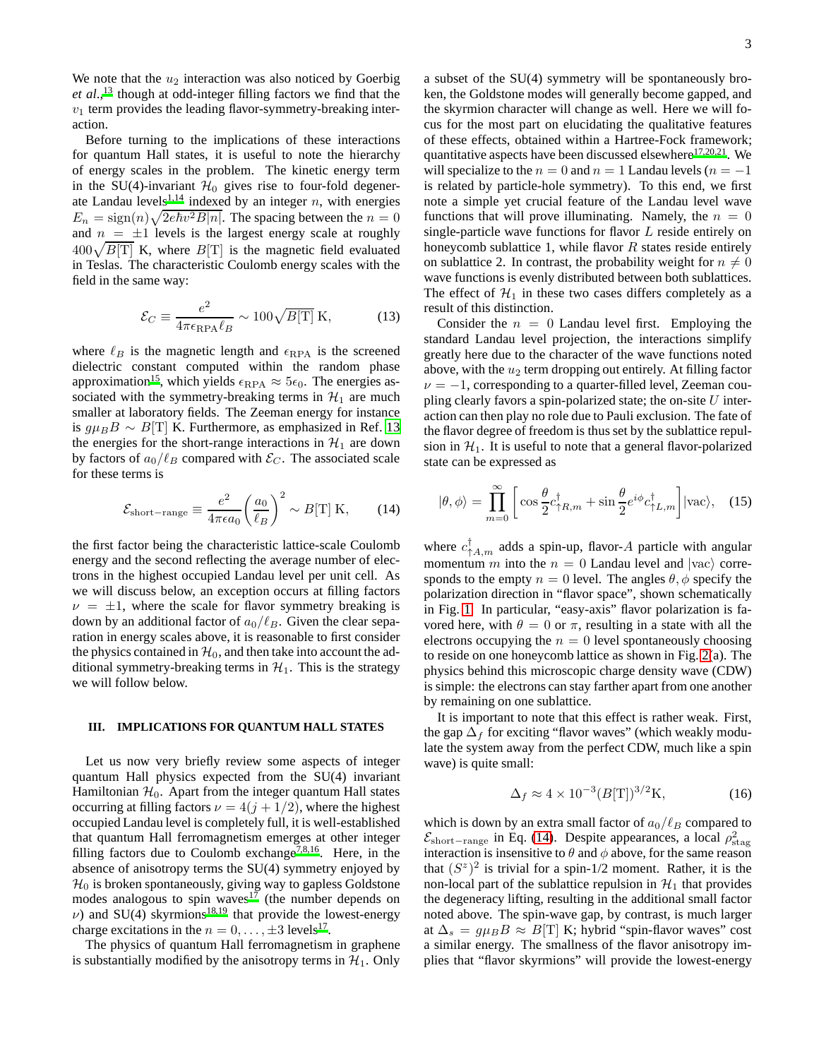We note that the  $u_2$  interaction was also noticed by Goerbig *et al*., [13](#page-5-12) though at odd-integer filling factors we find that the  $v_1$  term provides the leading flavor-symmetry-breaking interaction.

Before turning to the implications of these interactions for quantum Hall states, it is useful to note the hierarchy of energy scales in the problem. The kinetic energy term in the SU(4)-invariant  $\mathcal{H}_0$  gives rise to four-fold degener-ate Landau levels<sup>[1](#page-5-0)[,14](#page-5-13)</sup> indexed by an integer  $n$ , with energies  $E_n = \text{sign}(n)\sqrt{2e\hbar v^2B|n|}$ . The spacing between the  $n = 0$ and  $n = \pm 1$  levels is the largest energy scale at roughly  $400\sqrt{B[T]}$  K, where  $B[T]$  is the magnetic field evaluated in Teslas. The characteristic Coulomb energy scales with the field in the same way:

$$
\mathcal{E}_C \equiv \frac{e^2}{4\pi\epsilon_{\rm RPA}\ell_B} \sim 100\sqrt{B[\rm{T}]} \,\mathrm{K},\tag{13}
$$

where  $\ell_B$  is the magnetic length and  $\epsilon_{\rm RPA}$  is the screened dielectric constant computed within the random phase approximation<sup>[15](#page-5-14)</sup>, which yields  $\epsilon_{\rm RPA} \approx 5\epsilon_0$ . The energies associated with the symmetry-breaking terms in  $\mathcal{H}_1$  are much smaller at laboratory fields. The Zeeman energy for instance is  $g\mu_B B \sim B$ [T] K. Furthermore, as emphasized in Ref. [13](#page-5-12) the energies for the short-range interactions in  $\mathcal{H}_1$  are down by factors of  $a_0/\ell_B$  compared with  $\mathcal{E}_C$ . The associated scale for these terms is

<span id="page-2-0"></span>
$$
\mathcal{E}_{\text{short-range}} \equiv \frac{e^2}{4\pi\epsilon a_0} \left(\frac{a_0}{\ell_B}\right)^2 \sim B[\text{T}] \text{ K},\qquad(14)
$$

the first factor being the characteristic lattice-scale Coulomb energy and the second reflecting the average number of electrons in the highest occupied Landau level per unit cell. As we will discuss below, an exception occurs at filling factors  $\nu = \pm 1$ , where the scale for flavor symmetry breaking is down by an additional factor of  $a_0/\ell_B$ . Given the clear separation in energy scales above, it is reasonable to first consider the physics contained in  $\mathcal{H}_0$ , and then take into account the additional symmetry-breaking terms in  $H_1$ . This is the strategy we will follow below.

#### **III. IMPLICATIONS FOR QUANTUM HALL STATES**

Let us now very briefly review some aspects of integer quantum Hall physics expected from the SU(4) invariant Hamiltonian  $H_0$ . Apart from the integer quantum Hall states occurring at filling factors  $\nu = 4(j + 1/2)$ , where the highest occupied Landau level is completely full, it is well-established that quantum Hall ferromagnetism emerges at other integer filling factors due to Coulomb exchange<sup>[7](#page-5-6)[,8](#page-5-7)[,16](#page-5-15)</sup>. Here, in the absence of anisotropy terms the SU(4) symmetry enjoyed by  $\mathcal{H}_0$  is broken spontaneously, giving way to gapless Goldstone modes analogous to spin waves<sup>[17](#page-5-16)</sup> (the number depends on  $\nu$ ) and SU(4) [s](#page-5-17)kyrmions<sup>18[,19](#page-5-18)</sup> that provide the lowest-energy charge excitations in the  $n = 0, \ldots, \pm 3$  levels<sup>[17](#page-5-16)</sup>.

The physics of quantum Hall ferromagnetism in graphene is substantially modified by the anisotropy terms in  $\mathcal{H}_1$ . Only a subset of the SU(4) symmetry will be spontaneously broken, the Goldstone modes will generally become gapped, and the skyrmion character will change as well. Here we will focus for the most part on elucidating the qualitative features of these effects, obtained within a Hartree-Fock framework; quantitative aspects have been discussed elsewhere $17,20,21$  $17,20,21$  $17,20,21$ . We will specialize to the  $n = 0$  and  $n = 1$  Landau levels ( $n = -1$ is related by particle-hole symmetry). To this end, we first note a simple yet crucial feature of the Landau level wave functions that will prove illuminating. Namely, the  $n = 0$ single-particle wave functions for flavor L reside entirely on honeycomb sublattice 1, while flavor  $R$  states reside entirely on sublattice 2. In contrast, the probability weight for  $n \neq 0$ wave functions is evenly distributed between both sublattices. The effect of  $H_1$  in these two cases differs completely as a result of this distinction.

Consider the  $n = 0$  Landau level first. Employing the standard Landau level projection, the interactions simplify greatly here due to the character of the wave functions noted above, with the  $u_2$  term dropping out entirely. At filling factor  $\nu = -1$ , corresponding to a quarter-filled level, Zeeman coupling clearly favors a spin-polarized state; the on-site  $U$  interaction can then play no role due to Pauli exclusion. The fate of the flavor degree of freedom is thus set by the sublattice repulsion in  $\mathcal{H}_1$ . It is useful to note that a general flavor-polarized state can be expressed as

<span id="page-2-1"></span>
$$
|\theta,\phi\rangle = \prod_{m=0}^{\infty} \left[ \cos\frac{\theta}{2} c_{\uparrow R,m}^{\dagger} + \sin\frac{\theta}{2} e^{i\phi} c_{\uparrow L,m}^{\dagger} \right] |\text{vac}\rangle, \quad (15)
$$

where  $c_{\uparrow A,m}^{\dagger}$  adds a spin-up, flavor-A particle with angular momentum m into the  $n = 0$  Landau level and  $|vac\rangle$  corresponds to the empty  $n = 0$  level. The angles  $\theta$ ,  $\phi$  specify the polarization direction in "flavor space", shown schematically in Fig. [1.](#page-3-1) In particular, "easy-axis" flavor polarization is favored here, with  $\theta = 0$  or  $\pi$ , resulting in a state with all the electrons occupying the  $n = 0$  level spontaneously choosing to reside on one honeycomb lattice as shown in Fig. [2\(](#page-3-0)a). The physics behind this microscopic charge density wave (CDW) is simple: the electrons can stay farther apart from one another by remaining on one sublattice.

It is important to note that this effect is rather weak. First, the gap  $\Delta_f$  for exciting "flavor waves" (which weakly modulate the system away from the perfect CDW, much like a spin wave) is quite small:

$$
\Delta_f \approx 4 \times 10^{-3} (B[\text{T}])^{3/2} \text{K},\tag{16}
$$

which is down by an extra small factor of  $a_0/\ell_B$  compared to  $\mathcal{E}_{\text{short-range}}$  in Eq. [\(14\)](#page-2-0). Despite appearances, a local  $\rho_{\text{stag}}^2$ interaction is insensitive to  $\theta$  and  $\phi$  above, for the same reason that  $(S^z)^2$  is trivial for a spin-1/2 moment. Rather, it is the non-local part of the sublattice repulsion in  $\mathcal{H}_1$  that provides the degeneracy lifting, resulting in the additional small factor noted above. The spin-wave gap, by contrast, is much larger at  $\Delta_s = g \mu_B B \approx B$ [T] K; hybrid "spin-flavor waves" cost a similar energy. The smallness of the flavor anisotropy implies that "flavor skyrmions" will provide the lowest-energy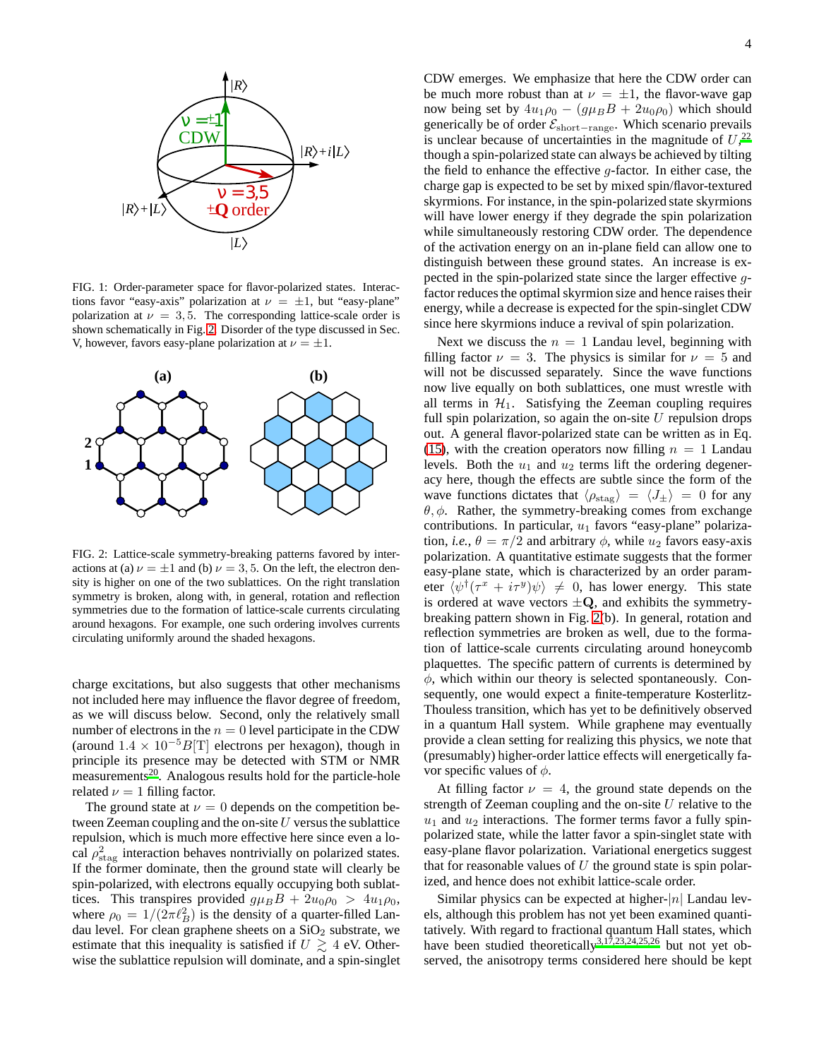

<span id="page-3-1"></span>FIG. 1: Order-parameter space for flavor-polarized states. Interactions favor "easy-axis" polarization at  $\nu = \pm 1$ , but "easy-plane" polarization at  $\nu = 3, 5$ . The corresponding lattice-scale order is shown schematically in Fig. [2.](#page-3-0) Disorder of the type discussed in Sec. V, however, favors easy-plane polarization at  $\nu = \pm 1$ .



<span id="page-3-0"></span>FIG. 2: Lattice-scale symmetry-breaking patterns favored by interactions at (a)  $\nu = \pm 1$  and (b)  $\nu = 3, 5$ . On the left, the electron density is higher on one of the two sublattices. On the right translation symmetry is broken, along with, in general, rotation and reflection symmetries due to the formation of lattice-scale currents circulating around hexagons. For example, one such ordering involves currents circulating uniformly around the shaded hexagons.

charge excitations, but also suggests that other mechanisms not included here may influence the flavor degree of freedom, as we will discuss below. Second, only the relatively small number of electrons in the  $n = 0$  level participate in the CDW (around  $1.4 \times 10^{-5} B[T]$  electrons per hexagon), though in principle its presence may be detected with STM or NMR measurements<sup>[20](#page-5-19)</sup>. Analogous results hold for the particle-hole related  $\nu = 1$  filling factor.

The ground state at  $\nu = 0$  depends on the competition between Zeeman coupling and the on-site  $U$  versus the sublattice repulsion, which is much more effective here since even a local  $\rho_{\rm stag}^2$  interaction behaves nontrivially on polarized states. If the former dominate, then the ground state will clearly be spin-polarized, with electrons equally occupying both sublattices. This transpires provided  $g\mu_B B + 2u_0\rho_0 > 4u_1\rho_0$ , where  $\rho_0 = 1/(2\pi \ell_B^2)$  is the density of a quarter-filled Landau level. For clean graphene sheets on a  $SiO<sub>2</sub>$  substrate, we estimate that this inequality is satisfied if  $U \gtrsim 4$  eV. Otherwise the sublattice repulsion will dominate, and a spin-singlet CDW emerges. We emphasize that here the CDW order can be much more robust than at  $\nu = \pm 1$ , the flavor-wave gap now being set by  $4u_1\rho_0 - (g\mu_B B + 2u_0\rho_0)$  which should generically be of order Eshort−range. Which scenario prevails is unclear because of uncertainties in the magnitude of  $U<sub>1</sub><sup>22</sup>$  $U<sub>1</sub><sup>22</sup>$  $U<sub>1</sub><sup>22</sup>$ though a spin-polarized state can always be achieved by tilting the field to enhance the effective  $q$ -factor. In either case, the charge gap is expected to be set by mixed spin/flavor-textured skyrmions. For instance, in the spin-polarized state skyrmions will have lower energy if they degrade the spin polarization while simultaneously restoring CDW order. The dependence of the activation energy on an in-plane field can allow one to distinguish between these ground states. An increase is expected in the spin-polarized state since the larger effective gfactor reduces the optimal skyrmion size and hence raises their energy, while a decrease is expected for the spin-singlet CDW since here skyrmions induce a revival of spin polarization.

Next we discuss the  $n = 1$  Landau level, beginning with filling factor  $\nu = 3$ . The physics is similar for  $\nu = 5$  and will not be discussed separately. Since the wave functions now live equally on both sublattices, one must wrestle with all terms in  $H_1$ . Satisfying the Zeeman coupling requires full spin polarization, so again the on-site  $U$  repulsion drops out. A general flavor-polarized state can be written as in Eq. [\(15\)](#page-2-1), with the creation operators now filling  $n = 1$  Landau levels. Both the  $u_1$  and  $u_2$  terms lift the ordering degeneracy here, though the effects are subtle since the form of the wave functions dictates that  $\langle \rho_{\text{stag}} \rangle = \langle J_{\pm} \rangle = 0$  for any  $\theta$ ,  $\phi$ . Rather, the symmetry-breaking comes from exchange contributions. In particular,  $u_1$  favors "easy-plane" polarization, *i.e.*,  $\theta = \pi/2$  and arbitrary  $\phi$ , while  $u_2$  favors easy-axis polarization. A quantitative estimate suggests that the former easy-plane state, which is characterized by an order parameter  $\langle \psi^{\dagger}(\tau^x + i\tau^y) \psi \rangle \neq 0$ , has lower energy. This state is ordered at wave vectors  $\pm Q$ , and exhibits the symmetrybreaking pattern shown in Fig. [2\(](#page-3-0)b). In general, rotation and reflection symmetries are broken as well, due to the formation of lattice-scale currents circulating around honeycomb plaquettes. The specific pattern of currents is determined by  $\phi$ , which within our theory is selected spontaneously. Consequently, one would expect a finite-temperature Kosterlitz-Thouless transition, which has yet to be definitively observed in a quantum Hall system. While graphene may eventually provide a clean setting for realizing this physics, we note that (presumably) higher-order lattice effects will energetically favor specific values of  $\phi$ .

At filling factor  $\nu = 4$ , the ground state depends on the strength of Zeeman coupling and the on-site  $U$  relative to the  $u_1$  and  $u_2$  interactions. The former terms favor a fully spinpolarized state, while the latter favor a spin-singlet state with easy-plane flavor polarization. Variational energetics suggest that for reasonable values of  $U$  the ground state is spin polarized, and hence does not exhibit lattice-scale order.

Similar physics can be expected at higher- $|n|$  Landau levels, although this problem has not yet been examined quantitatively. With regard to fractional quantum Hall states, which have been studied theoretically<sup>[3](#page-5-2)[,17](#page-5-16)[,23](#page-5-22)[,24](#page-5-23)[,25](#page-5-24)[,26](#page-5-25)</sup> but not yet observed, the anisotropy terms considered here should be kept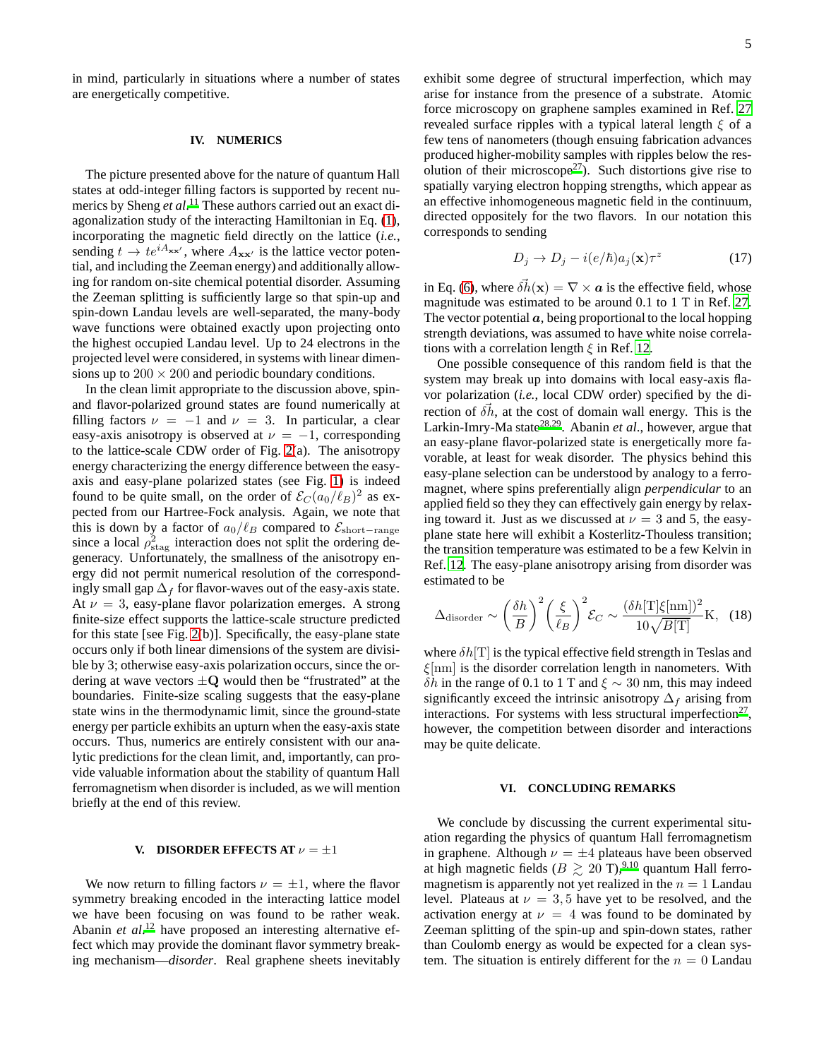in mind, particularly in situations where a number of states are energetically competitive.

### **IV. NUMERICS**

The picture presented above for the nature of quantum Hall states at odd-integer filling factors is supported by recent numerics by Sheng *et al*. [11](#page-5-10) These authors carried out an exact diagonalization study of the interacting Hamiltonian in Eq. [\(1\)](#page-1-0), incorporating the magnetic field directly on the lattice (*i.e.*, sending  $t \to te^{iA_{\mathbf{xx'}}}$ , where  $A_{\mathbf{xx'}}$  is the lattice vector potential, and including the Zeeman energy) and additionally allowing for random on-site chemical potential disorder. Assuming the Zeeman splitting is sufficiently large so that spin-up and spin-down Landau levels are well-separated, the many-body wave functions were obtained exactly upon projecting onto the highest occupied Landau level. Up to 24 electrons in the projected level were considered, in systems with linear dimensions up to  $200 \times 200$  and periodic boundary conditions.

In the clean limit appropriate to the discussion above, spinand flavor-polarized ground states are found numerically at filling factors  $\nu = -1$  and  $\nu = 3$ . In particular, a clear easy-axis anisotropy is observed at  $\nu = -1$ , corresponding to the lattice-scale CDW order of Fig. [2\(](#page-3-0)a). The anisotropy energy characterizing the energy difference between the easyaxis and easy-plane polarized states (see Fig. [1\)](#page-3-1) is indeed found to be quite small, on the order of  $\mathcal{E}_C(a_0/\ell_B)^2$  as expected from our Hartree-Fock analysis. Again, we note that this is down by a factor of  $a_0/\ell_B$  compared to  $\mathcal{E}_{short-range}$ since a local  $\rho_{\rm stag}^2$  interaction does not split the ordering degeneracy. Unfortunately, the smallness of the anisotropy energy did not permit numerical resolution of the correspondingly small gap  $\Delta_f$  for flavor-waves out of the easy-axis state. At  $\nu = 3$ , easy-plane flavor polarization emerges. A strong finite-size effect supports the lattice-scale structure predicted for this state [see Fig. [2\(](#page-3-0)b)]. Specifically, the easy-plane state occurs only if both linear dimensions of the system are divisible by 3; otherwise easy-axis polarization occurs, since the ordering at wave vectors  $\pm Q$  would then be "frustrated" at the boundaries. Finite-size scaling suggests that the easy-plane state wins in the thermodynamic limit, since the ground-state energy per particle exhibits an upturn when the easy-axis state occurs. Thus, numerics are entirely consistent with our analytic predictions for the clean limit, and, importantly, can provide valuable information about the stability of quantum Hall ferromagnetism when disorder is included, as we will mention briefly at the end of this review.

#### **V. DISORDER EFFECTS AT**  $\nu = \pm 1$

We now return to filling factors  $\nu = \pm 1$ , where the flavor symmetry breaking encoded in the interacting lattice model we have been focusing on was found to be rather weak. Abanin *et al.*<sup>[12](#page-5-11)</sup> have proposed an interesting alternative effect which may provide the dominant flavor symmetry breaking mechanism—*disorder*. Real graphene sheets inevitably

exhibit some degree of structural imperfection, which may arise for instance from the presence of a substrate. Atomic force microscopy on graphene samples examined in Ref. [27](#page-5-26) revealed surface ripples with a typical lateral length  $\xi$  of a few tens of nanometers (though ensuing fabrication advances produced higher-mobility samples with ripples below the res-olution of their microscope<sup>[27](#page-5-26)</sup>). Such distortions give rise to spatially varying electron hopping strengths, which appear as an effective inhomogeneous magnetic field in the continuum, directed oppositely for the two flavors. In our notation this corresponds to sending

$$
D_j \to D_j - i(e/\hbar)a_j(\mathbf{x})\tau^z \tag{17}
$$

in Eq. [\(6\)](#page-1-2), where  $\delta \vec{h}(\mathbf{x}) = \nabla \times \mathbf{a}$  is the effective field, whose magnitude was estimated to be around 0.1 to 1 T in Ref. [27.](#page-5-26) The vector potential  $a$ , being proportional to the local hopping strength deviations, was assumed to have white noise correlations with a correlation length  $\xi$  in Ref. [12.](#page-5-11)

One possible consequence of this random field is that the system may break up into domains with local easy-axis flavor polarization (*i.e.*, local CDW order) specified by the direction of  $\delta \vec{h}$ , at the cost of domain wall energy. This is the Larkin-Imry-Ma state<sup>[28](#page-5-27)[,29](#page-5-28)</sup>. Abanin *et al.*, however, argue that an easy-plane flavor-polarized state is energetically more favorable, at least for weak disorder. The physics behind this easy-plane selection can be understood by analogy to a ferromagnet, where spins preferentially align *perpendicular* to an applied field so they they can effectively gain energy by relaxing toward it. Just as we discussed at  $\nu = 3$  and 5, the easyplane state here will exhibit a Kosterlitz-Thouless transition; the transition temperature was estimated to be a few Kelvin in Ref. [12.](#page-5-11) The easy-plane anisotropy arising from disorder was estimated to be

$$
\Delta_{\text{disorder}} \sim \left(\frac{\delta h}{B}\right)^2 \left(\frac{\xi}{\ell_B}\right)^2 \mathcal{E}_C \sim \frac{(\delta h[\text{T}]\xi[\text{nm}])^2}{10\sqrt{B[\text{T}]}} \text{K}, \quad (18)
$$

where  $\delta h[T]$  is the typical effective field strength in Teslas and  $\xi$ [nm] is the disorder correlation length in nanometers. With δh in the range of 0.1 to 1 T and  $\xi \sim 30$  nm, this may indeed significantly exceed the intrinsic anisotropy  $\Delta_f$  arising from interactions. For systems with less structural imperfection<sup>[27](#page-5-26)</sup>, however, the competition between disorder and interactions may be quite delicate.

### **VI. CONCLUDING REMARKS**

We conclude by discussing the current experimental situation regarding the physics of quantum Hall ferromagnetism in graphene. Although  $\nu = \pm 4$  plateaus have been observed at high magnetic fields ( $B \ge 20$  T),<sup>[9](#page-5-8)[,10](#page-5-9)</sup> quantum Hall ferromagnetism is apparently not yet realized in the  $n = 1$  Landau level. Plateaus at  $\nu = 3, 5$  have yet to be resolved, and the activation energy at  $\nu = 4$  was found to be dominated by Zeeman splitting of the spin-up and spin-down states, rather than Coulomb energy as would be expected for a clean system. The situation is entirely different for the  $n = 0$  Landau